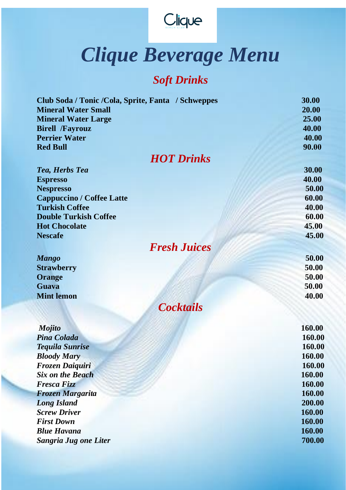

## *Clique Beverage Menu*

## *Soft Drinks*

| Club Soda / Tonic / Cola, Sprite, Fanta / Schweppes | 30.00  |
|-----------------------------------------------------|--------|
| <b>Mineral Water Small</b>                          | 20.00  |
| <b>Mineral Water Large</b>                          | 25.00  |
| <b>Birell /Fayrouz</b>                              | 40.00  |
| <b>Perrier Water</b>                                | 40.00  |
| <b>Red Bull</b>                                     | 90.00  |
| <b>HOT Drinks</b>                                   |        |
| Tea, Herbs Tea                                      | 30.00  |
| <b>Espresso</b>                                     | 40.00  |
| <b>Nespresso</b>                                    | 50.00  |
| <b>Cappuccino / Coffee Latte</b>                    | 60.00  |
| <b>Turkish Coffee</b>                               | 40.00  |
| <b>Double Turkish Coffee</b>                        | 60.00  |
| <b>Hot Chocolate</b>                                | 45.00  |
| <b>Nescafe</b>                                      | 45.00  |
|                                                     |        |
| <b>Fresh Juices</b>                                 |        |
| <b>Mango</b>                                        | 50.00  |
| <b>Strawberry</b>                                   | 50.00  |
| Orange                                              | 50.00  |
| <b>Guava</b>                                        | 50.00  |
| <b>Mint lemon</b>                                   | 40.00  |
| <b>Cocktails</b>                                    |        |
|                                                     |        |
| <b>Mojito</b>                                       | 160.00 |
| Pina Colada                                         | 160.00 |
| <b>Tequila Sunrise</b>                              | 160.00 |
| <b>Bloody Mary</b>                                  | 160.00 |
| <b>Frozen Daiquiri</b>                              | 160.00 |
| <b>Six on the Beach</b>                             | 160.00 |
| <b>Fresca Fizz</b>                                  | 160.00 |
| <b>Frozen Margarita</b>                             | 160.00 |
| <b>Long Island</b>                                  | 200.00 |
| <b>Screw Driver</b>                                 | 160.00 |
| <b>First Down</b>                                   | 160.00 |
| <b>Blue Havana</b>                                  | 160.00 |
| <b>Sangria Jug one Liter</b>                        | 700.00 |